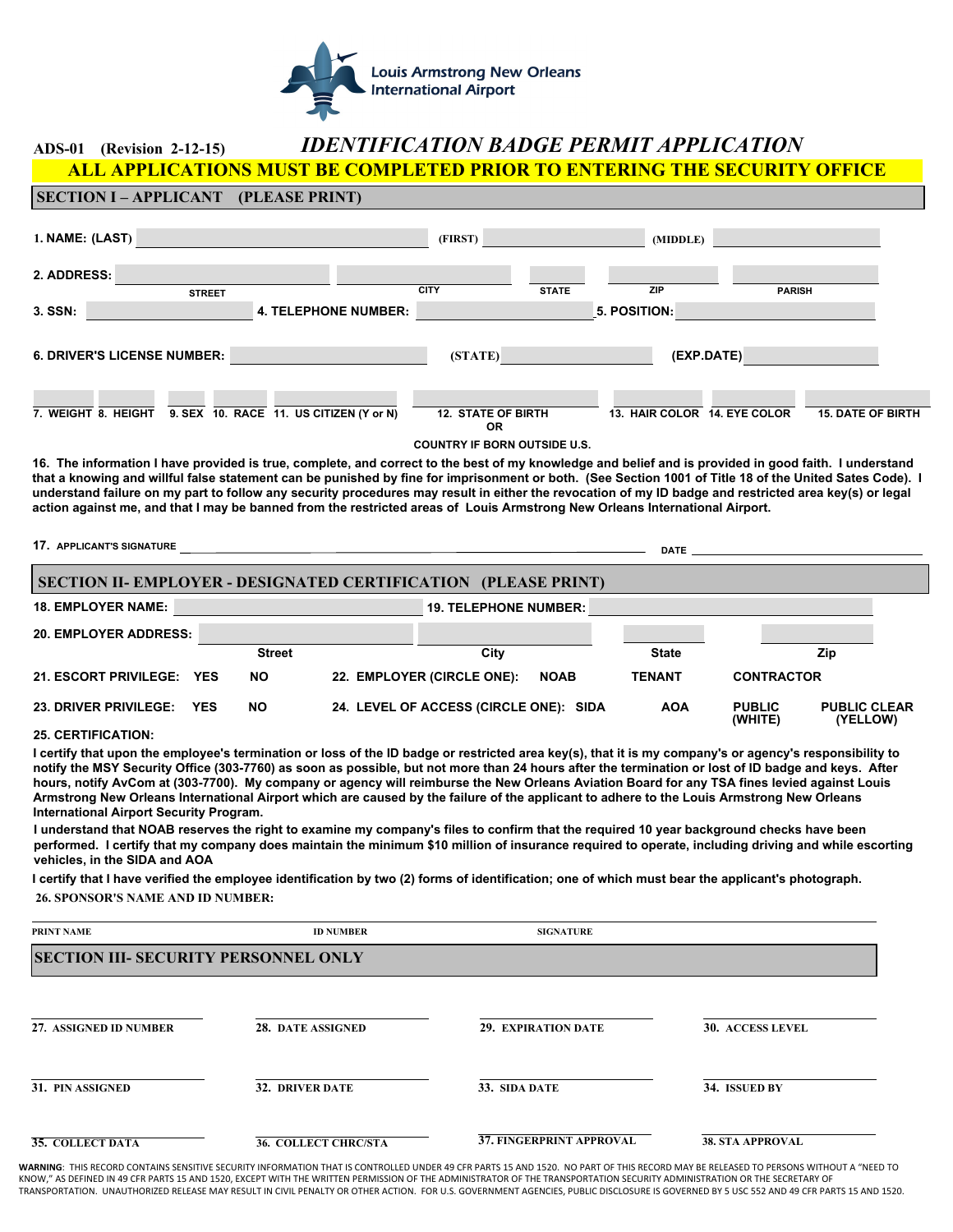

## **ADS-01 (Revision 2-12-15)** *IDENTIFICATION BADGE PERMIT APPLICATION* **ALL APPLICATIONS MUST BE COMPLETED PRIOR TO ENTERING THE SECURITY OFFICE**

| 1. NAME: (LAST)                                                                        | (FIRST)                                                        |              | (MIDDLE)                     |                          |
|----------------------------------------------------------------------------------------|----------------------------------------------------------------|--------------|------------------------------|--------------------------|
| 2. ADDRESS:<br><b>STREET</b>                                                           | <b>CITY</b>                                                    | <b>STATE</b> | <b>ZIP</b>                   | <b>PARISH</b>            |
| 3. SSN:                                                                                | <b>4. TELEPHONE NUMBER:</b>                                    |              | 5. POSITION:                 |                          |
| <b>6. DRIVER'S LICENSE NUMBER:</b>                                                     | (STATE)                                                        |              | (EXP.DATE)                   |                          |
| $\blacktriangledown$<br>9. SEX 10. RACE 11. US CITIZEN (Y or N)<br>7. WEIGHT 8. HEIGHT | $\blacktriangledown$<br><b>12. STATE OF BIRTH</b><br><b>OR</b> |              | 13. HAIR COLOR 14, EYE COLOR | <b>15. DATE OF BIRTH</b> |

**COUNTRY IF BORN OUTSIDE U.S.**

**16. The information I have provided is true, complete, and correct to the best of my knowledge and belief and is provided in good faith. I understand that a knowing and willful false statement can be punished by fine for imprisonment or both. (See Section 1001 of Title 18 of the United Sates Code). I understand failure on my part to follow any security procedures may result in either the revocation of my ID badge and restricted area key(s) or legal action against me, and that I may be banned from the restricted areas of Louis Armstrong New Orleans International Airport.** 

| <b>17. APPLICANT'S SIGNATURE</b><br><b>DATE DATE</b>           |            |               |  |                                        |             |               |                          |                                 |
|----------------------------------------------------------------|------------|---------------|--|----------------------------------------|-------------|---------------|--------------------------|---------------------------------|
| SECTION II- EMPLOYER - DESIGNATED CERTIFICATION (PLEASE PRINT) |            |               |  |                                        |             |               |                          |                                 |
| <b>18. EMPLOYER NAME:</b><br><b>19. TELEPHONE NUMBER:</b>      |            |               |  |                                        |             |               |                          |                                 |
| <b>20. EMPLOYER ADDRESS:</b>                                   |            |               |  |                                        |             |               |                          |                                 |
|                                                                |            | <b>Street</b> |  | City                                   |             | <b>State</b>  |                          | Zip                             |
| 21. ESCORT PRIVILEGE: YES                                      |            | <b>NO</b>     |  | 22. EMPLOYER (CIRCLE ONE):             | <b>NOAB</b> | <b>TENANT</b> | <b>CONTRACTOR</b>        |                                 |
| <b>23. DRIVER PRIVILEGE:</b>                                   | <b>YES</b> | <b>NO</b>     |  | 24. LEVEL OF ACCESS (CIRCLE ONE): SIDA |             | <b>AOA</b>    | <b>PUBLIC</b><br>(WHITE) | <b>PUBLIC CLEAR</b><br>(YELLOW) |
| <b>OF OFBTIFICATION.</b>                                       |            |               |  |                                        |             |               |                          |                                 |

## **25. CERTIFICATION:**

**SECTION I – APPLICANT (PLEASE PRINT)**

**I certify that upon the employee's termination or loss of the ID badge or restricted area key(s), that it is my company's or agency's responsibility to notify the MSY Security Office (303-7760) as soon as possible, but not more than 24 hours after the termination or lost of ID badge and keys. After hours, notify AvCom at (303-7700). My company or agency will reimburse the New Orleans Aviation Board for any TSA fines levied against Louis Armstrong New Orleans International Airport which are caused by the failure of the applicant to adhere to the Louis Armstrong New Orleans International Airport Security Program.** 

**I understand that NOAB reserves the right to examine my company's files to confirm that the required 10 year background checks have been performed. I certify that my company does maintain the minimum \$10 million of insurance required to operate, including driving and while escorting vehicles, in the SIDA and AOA**

**I certify that I have verified the employee identification by two (2) forms of identification; one of which must bear the applicant's photograph. 26. SPONSOR'S NAME AND ID NUMBER:**

| PRINT NAME                                  | <b>ID NUMBER</b>            | <b>SIGNATURE</b>                |                         |  |
|---------------------------------------------|-----------------------------|---------------------------------|-------------------------|--|
| <b>SECTION III- SECURITY PERSONNEL ONLY</b> |                             |                                 |                         |  |
|                                             |                             |                                 |                         |  |
| 27. ASSIGNED ID NUMBER                      | 28. DATE ASSIGNED           | <b>29. EXPIRATION DATE</b>      | <b>30. ACCESS LEVEL</b> |  |
| 31. PIN ASSIGNED                            | <b>32. DRIVER DATE</b>      | 33. SIDA DATE                   | 34. ISSUED BY           |  |
| <b>35. COLLECT DATA</b>                     | <b>36. COLLECT CHRC/STA</b> | <b>37. FINGERPRINT APPROVAL</b> | <b>38. STA APPROVAL</b> |  |

**WARNING**: THIS RECORD CONTAINS SENSITIVE SECURITY INFORMATION THAT IS CONTROLLED UNDER 49 CFR PARTS 15 AND 1520. NO PART OF THIS RECORD MAY BE RELEASED TO PERSONS WITHOUT A "NEED TO KNOW," AS DEFINED IN 49 CFR PARTS 15 AND 1520, EXCEPT WITH THE WRITTEN PERMISSION OF THE ADMINISTRATOR OF THE TRANSPORTATION SECURITY ADMINISTRATION OR THE SECRETARY OF TRANSPORTATION. UNAUTHORIZED RELEASE MAY RESULT IN CIVIL PENALTY OR OTHER ACTION. FOR U.S. GOVERNMENT AGENCIES, PUBLIC DISCLOSURE IS GOVERNED BY 5 USC 552 AND 49 CFR PARTS 15 AND 1520.